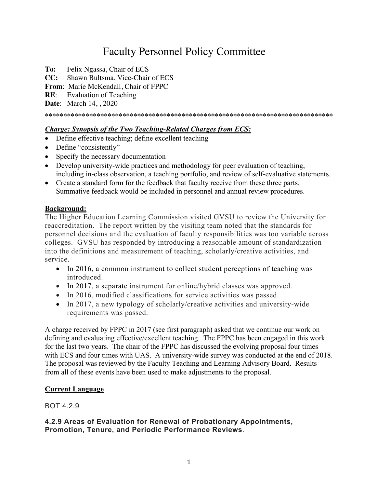# Faculty Personnel Policy Committee

- **To:** Felix Ngassa, Chair of ECS
- **CC:** Shawn Bultsma, Vice-Chair of ECS
- **From**: Marie McKendall, Chair of FPPC
- **RE**: Evaluation of Teaching

**Date**: March 14, , 2020

#### **\*\*\*\*\*\*\*\*\*\*\*\*\*\*\*\*\*\*\*\*\*\*\*\*\*\*\*\*\*\*\*\*\*\*\*\*\*\*\*\*\*\*\*\*\*\*\*\*\*\*\*\*\*\*\*\*\*\*\*\*\*\*\*\*\*\*\*\*\*\*\*\*\*\*\*\*\*\***

## *Charge: Synopsis of the Two Teaching-Related Charges from ECS:*

- Define effective teaching; define excellent teaching
- Define "consistently"
- Specify the necessary documentation
- Develop university-wide practices and methodology for peer evaluation of teaching, including in-class observation, a teaching portfolio, and review of self-evaluative statements.
- Create a standard form for the feedback that faculty receive from these three parts. Summative feedback would be included in personnel and annual review procedures.

## **Background:**

The Higher Education Learning Commission visited GVSU to review the University for reaccreditation. The report written by the visiting team noted that the standards for personnel decisions and the evaluation of faculty responsibilities was too variable across colleges. GVSU has responded by introducing a reasonable amount of standardization into the definitions and measurement of teaching, scholarly/creative activities, and service.

- In 2016, a common instrument to collect student perceptions of teaching was introduced.
- In 2017, a separate instrument for online/hybrid classes was approved.
- In 2016, modified classifications for service activities was passed.
- In 2017, a new typology of scholarly/creative activities and university-wide requirements was passed.

A charge received by FPPC in 2017 (see first paragraph) asked that we continue our work on defining and evaluating effective/excellent teaching. The FPPC has been engaged in this work for the last two years. The chair of the FPPC has discussed the evolving proposal four times with ECS and four times with UAS. A university-wide survey was conducted at the end of 2018. The proposal was reviewed by the Faculty Teaching and Learning Advisory Board. Results from all of these events have been used to make adjustments to the proposal.

# **Current Language**

# BOT 4.2.9

## **4.2.9 Areas of Evaluation for Renewal of Probationary Appointments, Promotion, Tenure, and Periodic Performance Reviews**.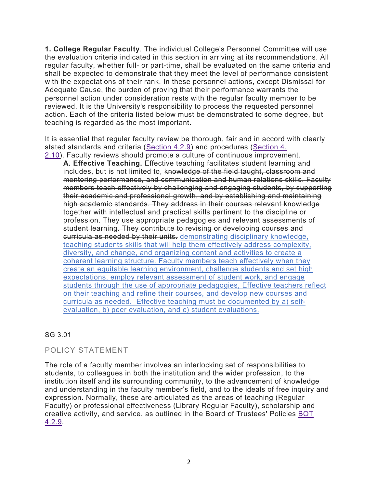**1. College Regular Faculty**. The individual College's Personnel Committee will use the evaluation criteria indicated in this section in arriving at its recommendations. All regular faculty, whether full- or part-time, shall be evaluated on the same criteria and shall be expected to demonstrate that they meet the level of performance consistent with the expectations of their rank. In these personnel actions, except Dismissal for Adequate Cause, the burden of proving that their performance warrants the personnel action under consideration rests with the regular faculty member to be reviewed. It is the University's responsibility to process the requested personnel action. Each of the criteria listed below must be demonstrated to some degree, but teaching is regarded as the most important.

It is essential that regular faculty review be thorough, fair and in accord with clearly stated standards and criteria (Section 4.2.9) and procedures (Section 4.

2.10). Faculty reviews should promote a culture of continuous improvement. **A. Effective Teaching.** Effective teaching facilitates student learning and includes, but is not limited to, knowledge of the field taught, classroom and mentoring performance, and communication and human relations skills. Faculty members teach effectively by challenging and engaging students, by supporting their academic and professional growth, and by establishing and maintaining high academic standards. They address in their courses relevant knowledge together with intellectual and practical skills pertinent to the discipline or profession. They use appropriate pedagogies and relevant assessments of student learning. They contribute to revising or developing courses and curricula as needed by their units. demonstrating disciplinary knowledge, teaching students skills that will help them effectively address complexity, diversity, and change, and organizing content and activities to create a coherent learning structure. Faculty members teach effectively when they create an equitable learning environment, challenge students and set high expectations, employ relevant assessment of student work, and engage students through the use of appropriate pedagogies, Effective teachers reflect on their teaching and refine their courses, and develop new courses and curricula as needed. Effective teaching must be documented by a) selfevaluation, b) peer evaluation, and c) student evaluations.

# SG 3.01

# POLICY STATEMENT

The role of a faculty member involves an interlocking set of responsibilities to students, to colleagues in both the institution and the wider profession, to the institution itself and its surrounding community, to the advancement of knowledge and understanding in the faculty member's field, and to the ideals of free inquiry and expression. Normally, these are articulated as the areas of teaching (Regular Faculty) or professional effectiveness (Library Regular Faculty), scholarship and creative activity, and service, as outlined in the Board of Trustees' Policies BOT 4.2.9.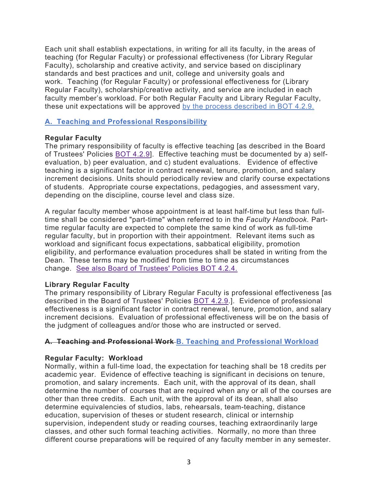Each unit shall establish expectations, in writing for all its faculty, in the areas of teaching (for Regular Faculty) or professional effectiveness (for Library Regular Faculty), scholarship and creative activity, and service based on disciplinary standards and best practices and unit, college and university goals and work. Teaching (for Regular Faculty) or professional effectiveness for (Library Regular Faculty), scholarship/creative activity, and service are included in each faculty member's workload. For both Regular Faculty and Library Regular Faculty, these unit expectations will be approved by the process described in BOT 4.2.9.

## **A. Teaching and Professional Responsibility**

## **Regular Faculty**

The primary responsibility of faculty is effective teaching [as described in the Board of Trustees' Policies BOT 4.2.9]. Effective teaching must be documented by a) selfevaluation, b) peer evaluation, and c) student evaluations. Evidence of effective teaching is a significant factor in contract renewal, tenure, promotion, and salary increment decisions. Units should periodically review and clarify course expectations of students. Appropriate course expectations, pedagogies, and assessment vary, depending on the discipline, course level and class size.

A regular faculty member whose appointment is at least half-time but less than fulltime shall be considered "part-time" when referred to in the *Faculty Handbook.* Parttime regular faculty are expected to complete the same kind of work as full-time regular faculty, but in proportion with their appointment. Relevant items such as workload and significant focus expectations, sabbatical eligibility, promotion eligibility, and performance evaluation procedures shall be stated in writing from the Dean. These terms may be modified from time to time as circumstances change. See also Board of Trustees' Policies BOT 4.2.4.

## **Library Regular Faculty**

The primary responsibility of Library Regular Faculty is professional effectiveness [as described in the Board of Trustees' Policies BOT 4.2.9.]. Evidence of professional effectiveness is a significant factor in contract renewal, tenure, promotion, and salary increment decisions. Evaluation of professional effectiveness will be on the basis of the judgment of colleagues and/or those who are instructed or served.

# **A. Teaching and Professional Work B. Teaching and Professional Workload**

# **Regular Faculty: Workload**

Normally, within a full-time load, the expectation for teaching shall be 18 credits per academic year. Evidence of effective teaching is significant in decisions on tenure, promotion, and salary increments. Each unit, with the approval of its dean, shall determine the number of courses that are required when any or all of the courses are other than three credits. Each unit, with the approval of its dean, shall also determine equivalencies of studios, labs, rehearsals, team-teaching, distance education, supervision of theses or student research, clinical or internship supervision, independent study or reading courses, teaching extraordinarily large classes, and other such formal teaching activities. Normally, no more than three different course preparations will be required of any faculty member in any semester.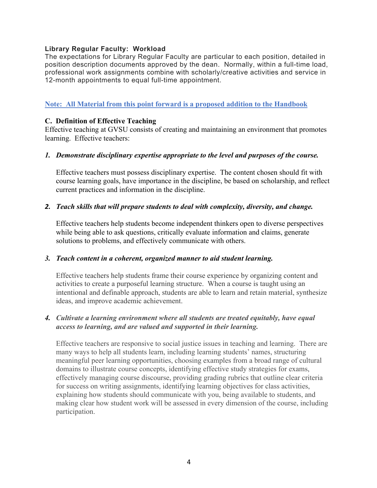## **Library Regular Faculty: Workload**

The expectations for Library Regular Faculty are particular to each position, detailed in position description documents approved by the dean. Normally, within a full-time load, professional work assignments combine with scholarly/creative activities and service in 12-month appointments to equal full-time appointment.

# **Note: All Material from this point forward is a proposed addition to the Handbook**

## **C. Definition of Effective Teaching**

Effective teaching at GVSU consists of creating and maintaining an environment that promotes learning. Effective teachers:

## *1. Demonstrate disciplinary expertise appropriate to the level and purposes of the course.*

Effective teachers must possess disciplinary expertise. The content chosen should fit with course learning goals, have importance in the discipline, be based on scholarship, and reflect current practices and information in the discipline.

## *2. Teach skills that will prepare students to deal with complexity, diversity, and change.*

Effective teachers help students become independent thinkers open to diverse perspectives while being able to ask questions, critically evaluate information and claims, generate solutions to problems, and effectively communicate with others.

## *3. Teach content in a coherent, organized manner to aid student learning.*

Effective teachers help students frame their course experience by organizing content and activities to create a purposeful learning structure. When a course is taught using an intentional and definable approach, students are able to learn and retain material, synthesize ideas, and improve academic achievement.

## *4. Cultivate a learning environment where all students are treated equitably, have equal access to learning, and are valued and supported in their learning.*

Effective teachers are responsive to social justice issues in teaching and learning. There are many ways to help all students learn, including learning students' names, structuring meaningful peer learning opportunities, choosing examples from a broad range of cultural domains to illustrate course concepts, identifying effective study strategies for exams, effectively managing course discourse, providing grading rubrics that outline clear criteria for success on writing assignments, identifying learning objectives for class activities, explaining how students should communicate with you, being available to students, and making clear how student work will be assessed in every dimension of the course, including participation.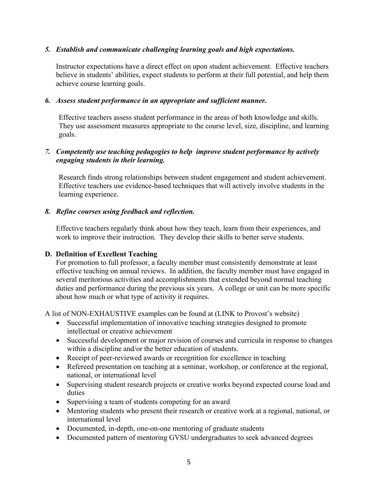# *5. Establish and communicate challenging learning goals and high expectations.*

Instructor expectations have a direct effect on upon student achievement. Effective teachers believe in students' abilities, expect students to perform at their full potential, and help them achieve course learning goals.

## *6. Assess student performance in an appropriate and sufficient manner.*

Effective teachers assess student performance in the areas of both knowledge and skills. They use assessment measures appropriate to the course level, size, discipline, and learning goals.

# *7. Competently use teaching pedagogies to help improve student performance by actively engaging students in their learning.*

Research finds strong relationships between student engagement and student achievement. Effective teachers use evidence-based techniques that will actively involve students in the learning experience.

# *8. Refine courses using feedback and reflection.*

Effective teachers regularly think about how they teach, learn from their experiences, and work to improve their instruction. They develop their skills to better serve students.

# **D. Definition of Excellent Teaching**

For promotion to full professor, a faculty member must consistently demonstrate at least effective teaching on annual reviews. In addition, the faculty member must have engaged in several meritorious activities and accomplishments that extended beyond normal teaching duties and performance during the previous six years. A college or unit can be more specific about how much or what type of activity it requires.

A list of NON-EXHAUSTIVE examples can be found at (LINK to Provost's website)

- Successful implementation of innovative teaching strategies designed to promote intellectual or creative achievement
- Successful development or major revision of courses and curricula in response to changes within a discipline and/or the better education of students.
- Receipt of peer-reviewed awards or recognition for excellence in teaching
- Refereed presentation on teaching at a seminar, workshop, or conference at the regional, national, or international level
- Supervising student research projects or creative works beyond expected course load and duties
- Supervising a team of students competing for an award
- Mentoring students who present their research or creative work at a regional, national, or international level
- Documented, in-depth, one-on-one mentoring of graduate students
- Documented pattern of mentoring GVSU undergraduates to seek advanced degrees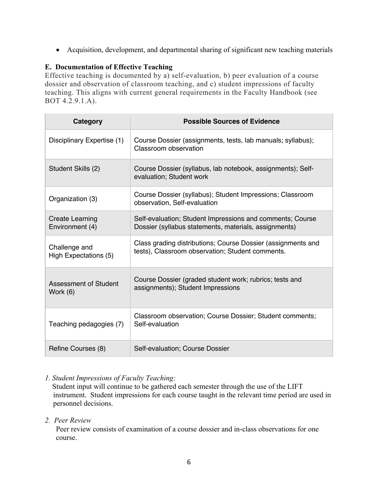• Acquisition, development, and departmental sharing of significant new teaching materials

# **E. Documentation of Effective Teaching**

Effective teaching is documented by a) self-evaluation, b) peer evaluation of a course dossier and observation of classroom teaching, and c) student impressions of faculty teaching. This aligns with current general requirements in the Faculty Handbook (see BOT 4.2.9.1.A).

| <b>Category</b>                           | <b>Possible Sources of Evidence</b>                                                                                |
|-------------------------------------------|--------------------------------------------------------------------------------------------------------------------|
| Disciplinary Expertise (1)                | Course Dossier (assignments, tests, lab manuals; syllabus);<br>Classroom observation                               |
| Student Skills (2)                        | Course Dossier (syllabus, lab notebook, assignments); Self-<br>evaluation; Student work                            |
| Organization (3)                          | Course Dossier (syllabus); Student Impressions; Classroom<br>observation, Self-evaluation                          |
| <b>Create Learning</b><br>Environment (4) | Self-evaluation; Student Impressions and comments; Course<br>Dossier (syllabus statements, materials, assignments) |
| Challenge and<br>High Expectations (5)    | Class grading distributions; Course Dossier (assignments and<br>tests), Classroom observation; Student comments.   |
| <b>Assessment of Student</b><br>Work (6)  | Course Dossier (graded student work; rubrics; tests and<br>assignments); Student Impressions                       |
| Teaching pedagogies (7)                   | Classroom observation; Course Dossier; Student comments;<br>Self-evaluation                                        |
| Refine Courses (8)                        | Self-evaluation; Course Dossier                                                                                    |

# *1. Student Impressions of Faculty Teaching:*

 Student input will continue to be gathered each semester through the use of the LIFT instrument. Student impressions for each course taught in the relevant time period are used in personnel decisions.

*2. Peer Review*

Peer review consists of examination of a course dossier and in-class observations for one course.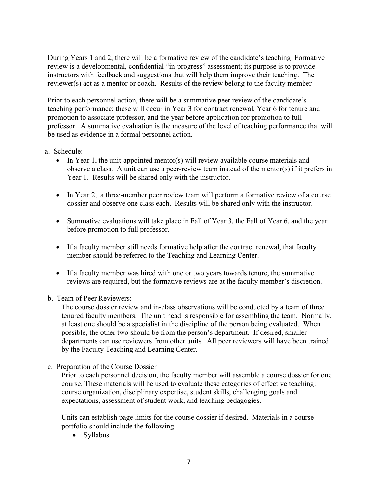During Years 1 and 2, there will be a formative review of the candidate's teachingFormative review is a developmental, confidential "in-progress" assessment; its purpose is to provide instructors with feedback and suggestions that will help them improve their teaching. The reviewer(s) act as a mentor or coach. Results of the review belong to the faculty member

Prior to each personnel action, there will be a summative peer review of the candidate's teaching performance; these will occur in Year 3 for contract renewal, Year 6 for tenure and promotion to associate professor, and the year before application for promotion to full professor. A summative evaluation is the measure of the level of teaching performance that will be used as evidence in a formal personnel action.

- a. Schedule:
	- In Year 1, the unit-appointed mentor(s) will review available course materials and observe a class. A unit can use a peer-review team instead of the mentor(s) if it prefers in Year 1. Results will be shared only with the instructor.
	- In Year 2, a three-member peer review team will perform a formative review of a course dossier and observe one class each. Results will be shared only with the instructor.
	- Summative evaluations will take place in Fall of Year 3, the Fall of Year 6, and the year before promotion to full professor.
	- If a faculty member still needs formative help after the contract renewal, that faculty member should be referred to the Teaching and Learning Center.
	- If a faculty member was hired with one or two years towards tenure, the summative reviews are required, but the formative reviews are at the faculty member's discretion.
- b. Team of Peer Reviewers:

The course dossier review and in-class observations will be conducted by a team of three tenured faculty members. The unit head is responsible for assembling the team. Normally, at least one should be a specialist in the discipline of the person being evaluated. When possible, the other two should be from the person's department. If desired, smaller departments can use reviewers from other units. All peer reviewers will have been trained by the Faculty Teaching and Learning Center.

c. Preparation of the Course Dossier

Prior to each personnel decision, the faculty member will assemble a course dossier for one course. These materials will be used to evaluate these categories of effective teaching: course organization, disciplinary expertise, student skills, challenging goals and expectations, assessment of student work, and teaching pedagogies.

Units can establish page limits for the course dossier if desired. Materials in a course portfolio should include the following:

• Syllabus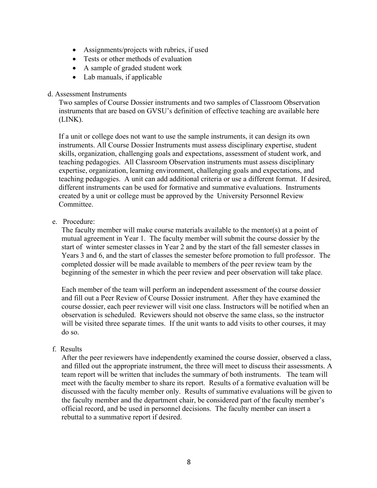- Assignments/projects with rubrics, if used
- Tests or other methods of evaluation
- A sample of graded student work
- Lab manuals, if applicable

#### d. Assessment Instruments

Two samples of Course Dossier instruments and two samples of Classroom Observation instruments that are based on GVSU's definition of effective teaching are available here (LINK).

If a unit or college does not want to use the sample instruments, it can design its own instruments. All Course Dossier Instruments must assess disciplinary expertise, student skills, organization, challenging goals and expectations, assessment of student work, and teaching pedagogies. All Classroom Observation instruments must assess disciplinary expertise, organization, learning environment, challenging goals and expectations, and teaching pedagogies. A unit can add additional criteria or use a different format. If desired, different instruments can be used for formative and summative evaluations. Instruments created by a unit or college must be approved by the University Personnel Review Committee.

e. Procedure:

The faculty member will make course materials available to the mentor(s) at a point of mutual agreement in Year 1. The faculty member will submit the course dossier by the start of winter semester classes in Year 2 and by the start of the fall semester classes in Years 3 and 6, and the start of classes the semester before promotion to full professor. The completed dossier will be made available to members of the peer review team by the beginning of the semester in which the peer review and peer observation will take place.

Each member of the team will perform an independent assessment of the course dossier and fill out a Peer Review of Course Dossier instrument. After they have examined the course dossier, each peer reviewer will visit one class. Instructors will be notified when an observation is scheduled. Reviewers should not observe the same class, so the instructor will be visited three separate times. If the unit wants to add visits to other courses, it may do so.

## f. Results

After the peer reviewers have independently examined the course dossier, observed a class, and filled out the appropriate instrument, the three will meet to discuss their assessments. A team report will be written that includes the summary of both instruments. The team will meet with the faculty member to share its report. Results of a formative evaluation will be discussed with the faculty member only. Results of summative evaluations will be given to the faculty member and the department chair, be considered part of the faculty member's official record, and be used in personnel decisions. The faculty member can insert a rebuttal to a summative report if desired.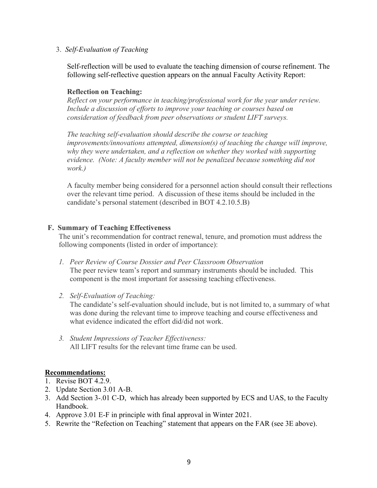3. *Self-Evaluation of Teaching*

Self-reflection will be used to evaluate the teaching dimension of course refinement. The following self-reflective question appears on the annual Faculty Activity Report:

## **Reflection on Teaching:**

*Reflect on your performance in teaching/professional work for the year under review. Include a discussion of efforts to improve your teaching or courses based on consideration of feedback from peer observations or student LIFT surveys.*

*The teaching self-evaluation should describe the course or teaching improvements/innovations attempted, dimension(s) of teaching the change will improve, why they were undertaken, and a reflection on whether they worked with supporting evidence. (Note: A faculty member will not be penalized because something did not work.)*

A faculty member being considered for a personnel action should consult their reflections over the relevant time period. A discussion of these items should be included in the candidate's personal statement (described in BOT 4.2.10.5.B)

## **F. Summary of Teaching Effectiveness**

The unit's recommendation for contract renewal, tenure, and promotion must address the following components (listed in order of importance):

- *1. Peer Review of Course Dossier and Peer Classroom Observation* The peer review team's report and summary instruments should be included. This component is the most important for assessing teaching effectiveness.
- *2. Self-Evaluation of Teaching:*

The candidate's self-evaluation should include, but is not limited to, a summary of what was done during the relevant time to improve teaching and course effectiveness and what evidence indicated the effort did/did not work.

*3. Student Impressions of Teacher Effectiveness:*  All LIFT results for the relevant time frame can be used.

## **Recommendations:**

- 1. Revise BOT 4.2.9.
- 2. Update Section 3.01 A-B.
- 3. Add Section 3-.01 C-D, which has already been supported by ECS and UAS, to the Faculty Handbook.
- 4. Approve 3.01 E-F in principle with final approval in Winter 2021.
- 5. Rewrite the "Refection on Teaching" statement that appears on the FAR (see 3E above).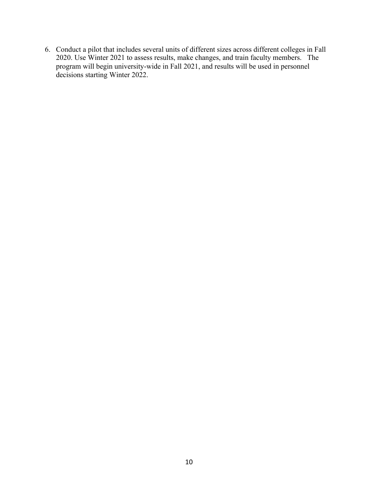6. Conduct a pilot that includes several units of different sizes across different colleges in Fall 2020. Use Winter 2021 to assess results, make changes, and train faculty members. The program will begin university-wide in Fall 2021, and results will be used in personnel decisions starting Winter 2022.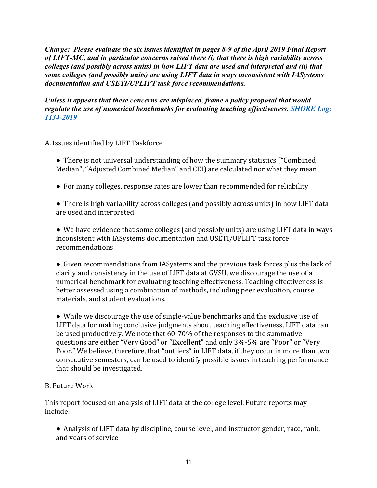*Charge: Please evaluate the six issues identified in pages 8-9 of the April 2019 Final Report of LIFT-MC, and in particular concerns raised there (i) that there is high variability across colleges (and possibly across units) in how LIFT data are used and interpreted and (ii) that some colleges (and possibly units) are using LIFT data in ways inconsistent with IASystems documentation and USETI/UPLIFT task force recommendations.*

*Unless it appears that these concerns are misplaced, frame a policy proposal that would regulate the use of numerical benchmarks for evaluating teaching effectiveness. SHORE Log: 1134-2019*

# A. Issues identified by LIFT Taskforce

- There is not universal understanding of how the summary statistics ("Combined" Median", "Adjusted Combined Median" and CEI) are calculated nor what they mean
- For many colleges, response rates are lower than recommended for reliability
- There is high variability across colleges (and possibly across units) in how LIFT data are used and interpreted

• We have evidence that some colleges (and possibly units) are using LIFT data in ways inconsistent with IASystems documentation and USETI/UPLIFT task force recommendations 

• Given recommendations from IASystems and the previous task forces plus the lack of clarity and consistency in the use of LIFT data at GVSU, we discourage the use of a numerical benchmark for evaluating teaching effectiveness. Teaching effectiveness is better assessed using a combination of methods, including peer evaluation, course materials, and student evaluations.

 $\bullet$  While we discourage the use of single-value benchmarks and the exclusive use of LIFT data for making conclusive judgments about teaching effectiveness, LIFT data can be used productively. We note that  $60-70\%$  of the responses to the summative questions are either "Very Good" or "Excellent" and only 3%-5% are "Poor" or "Very Poor." We believe, therefore, that "outliers" in LIFT data, if they occur in more than two consecutive semesters, can be used to identify possible issues in teaching performance that should be investigated.

# B. Future Work

This report focused on analysis of LIFT data at the college level. Future reports may include: 

• Analysis of LIFT data by discipline, course level, and instructor gender, race, rank, and years of service